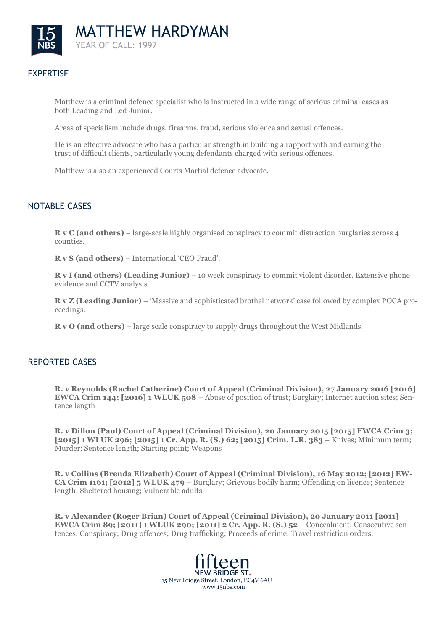

# **EXPERTISE**

Matthew is a criminal defence specialist who is instructed in a wide range of serious criminal cases as both Leading and Led Junior.

Areas of specialism include drugs, firearms, fraud, serious violence and sexual offences.

He is an effective advocate who has a particular strength in building a rapport with and earning the trust of difficult clients, particularly young defendants charged with serious offences.

Matthew is also an experienced Courts Martial defence advocate.

## NOTABLE CASES

**R v C (and others)** – large-scale highly organised conspiracy to commit distraction burglaries across 4 counties.

**R v S (and others)** – International 'CEO Fraud'.

**R v I (and others) (Leading Junior)** – 10 week conspiracy to commit violent disorder. Extensive phone evidence and CCTV analysis.

**R v Z (Leading Junior)** – 'Massive and sophisticated brothel network' case followed by complex POCA proceedings.

**R v O (and others)** – large scale conspiracy to supply drugs throughout the West Midlands.

## REPORTED CASES

**R. v Reynolds (Rachel Catherine) Court of Appeal (Criminal Division), 27 January 2016 [2016] EWCA Crim 144; [2016] 1 WLUK 508** – Abuse of position of trust; Burglary; Internet auction sites; Sentence length

**R. v Dillon (Paul) Court of Appeal (Criminal Division), 20 January 2015 [2015] EWCA Crim 3; [2015] 1 WLUK 296; [2015] 1 Cr. App. R. (S.) 62; [2015] Crim. L.R. 383** – Knives; Minimum term; Murder; Sentence length; Starting point; Weapons

**R. v Collins (Brenda Elizabeth) Court of Appeal (Criminal Division), 16 May 2012; [2012] EW-CA Crim 1161; [2012] 5 WLUK 479** – Burglary; Grievous bodily harm; Offending on licence; Sentence length; Sheltered housing; Vulnerable adults

**R. v Alexander (Roger Brian) Court of Appeal (Criminal Division), 20 January 2011 [2011] EWCA Crim 89; [2011] 1 WLUK 290; [2011] 2 Cr. App. R. (S.) 52** – Concealment; Consecutive sentences; Conspiracy; Drug offences; Drug trafficking; Proceeds of crime; Travel restriction orders.